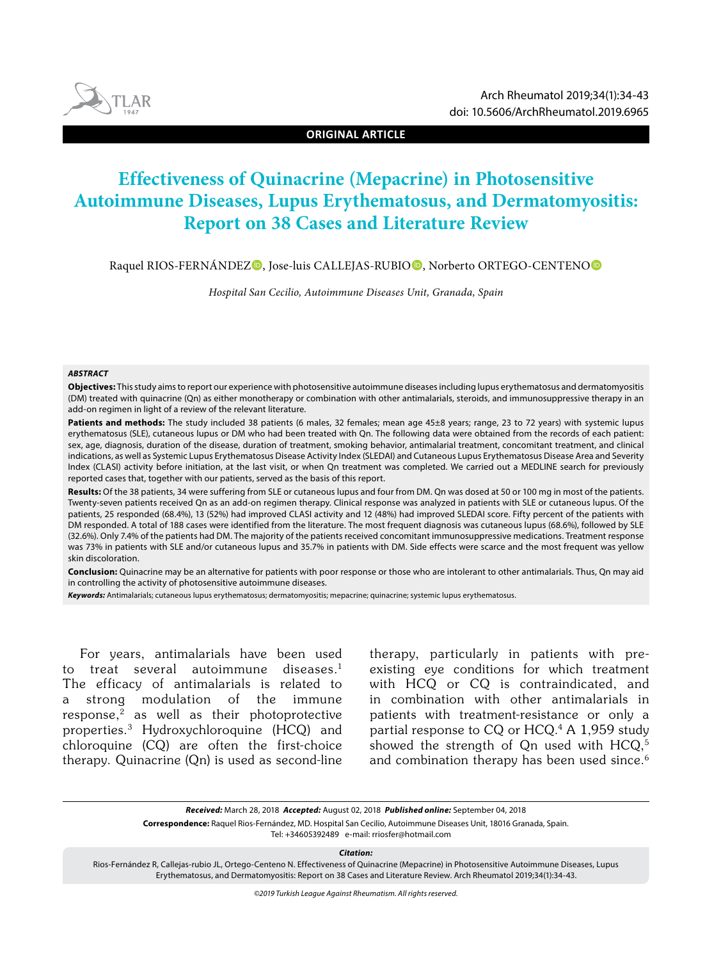**ORIGINAL ARTICLE**

# **Effectiveness of Quinacrine (Mepacrine) in Photosensitive Autoimmune Diseases, Lupus Erythematosus, and Dermatomyositis: Report on 38 Cases and Literature Review**

Raquel RIOS-FERNÁNDEZ<sup>O</sup>, Jose-luis CALLEJAS-RUBIO<sup>O</sup>, Norberto ORTEGO-CENTENO<sup>O</sup>

*Hospital San Cecilio, Autoimmune Diseases Unit, Granada, Spain*

#### *ABSTRACT*

**Objectives:** This study aims to report our experience with photosensitive autoimmune diseases including lupus erythematosus and dermatomyositis (DM) treated with quinacrine (Qn) as either monotherapy or combination with other antimalarials, steroids, and immunosuppressive therapy in an add-on regimen in light of a review of the relevant literature.

Patients and methods: The study included 38 patients (6 males, 32 females; mean age 45±8 years; range, 23 to 72 years) with systemic lupus erythematosus (SLE), cutaneous lupus or DM who had been treated with Qn. The following data were obtained from the records of each patient: sex, age, diagnosis, duration of the disease, duration of treatment, smoking behavior, antimalarial treatment, concomitant treatment, and clinical indications, as well as Systemic Lupus Erythematosus Disease Activity Index (SLEDAI) and Cutaneous Lupus Erythematosus Disease Area and Severity Index (CLASI) activity before initiation, at the last visit, or when Qn treatment was completed. We carried out a MEDLINE search for previously reported cases that, together with our patients, served as the basis of this report.

**Results:** Of the 38 patients, 34 were suffering from SLE or cutaneous lupus and four from DM. Qn was dosed at 50 or 100 mg in most of the patients. Twenty-seven patients received Qn as an add-on regimen therapy. Clinical response was analyzed in patients with SLE or cutaneous lupus. Of the patients, 25 responded (68.4%), 13 (52%) had improved CLASI activity and 12 (48%) had improved SLEDAI score. Fifty percent of the patients with DM responded. A total of 188 cases were identified from the literature. The most frequent diagnosis was cutaneous lupus (68.6%), followed by SLE (32.6%). Only 7.4% of the patients had DM. The majority of the patients received concomitant immunosuppressive medications. Treatment response was 73% in patients with SLE and/or cutaneous lupus and 35.7% in patients with DM. Side effects were scarce and the most frequent was yellow skin discoloration.

**Conclusion:** Quinacrine may be an alternative for patients with poor response or those who are intolerant to other antimalarials. Thus, Qn may aid in controlling the activity of photosensitive autoimmune diseases.

*Keywords:* Antimalarials; cutaneous lupus erythematosus; dermatomyositis; mepacrine; quinacrine; systemic lupus erythematosus.

For years, antimalarials have been used to treat several autoimmune diseases.<sup>1</sup> The efficacy of antimalarials is related to a strong modulation of the immune  $response<sub>1</sub><sup>2</sup>$  as well as their photoprotective properties.3 Hydroxychloroquine (HCQ) and chloroquine (CQ) are often the first-choice therapy. Quinacrine (Qn) is used as second-line therapy, particularly in patients with preexisting eye conditions for which treatment with HCQ or CQ is contraindicated, and in combination with other antimalarials in patients with treatment-resistance or only a partial response to CQ or HCQ.4 A 1,959 study showed the strength of On used with HCQ.<sup>5</sup> and combination therapy has been used since.<sup>6</sup>

*Received:* March 28, 2018 *Accepted:* August 02, 2018 *Published online:* September 04, 2018

**Correspondence:** Raquel Rios-Fernández, MD. Hospital San Cecilio, Autoimmune Diseases Unit, 18016 Granada, Spain.

Tel: +34605392489 e-mail: rriosfer@hotmail.com

*Citation:*

Rios-Fernández R, Callejas-rubio JL, Ortego-Centeno N. Effectiveness of Quinacrine (Mepacrine) in Photosensitive Autoimmune Diseases, Lupus Erythematosus, and Dermatomyositis: Report on 38 Cases and Literature Review. Arch Rheumatol 2019;34(1):34-43.

*©2019 Turkish League Against Rheumatism. All rights reserved.*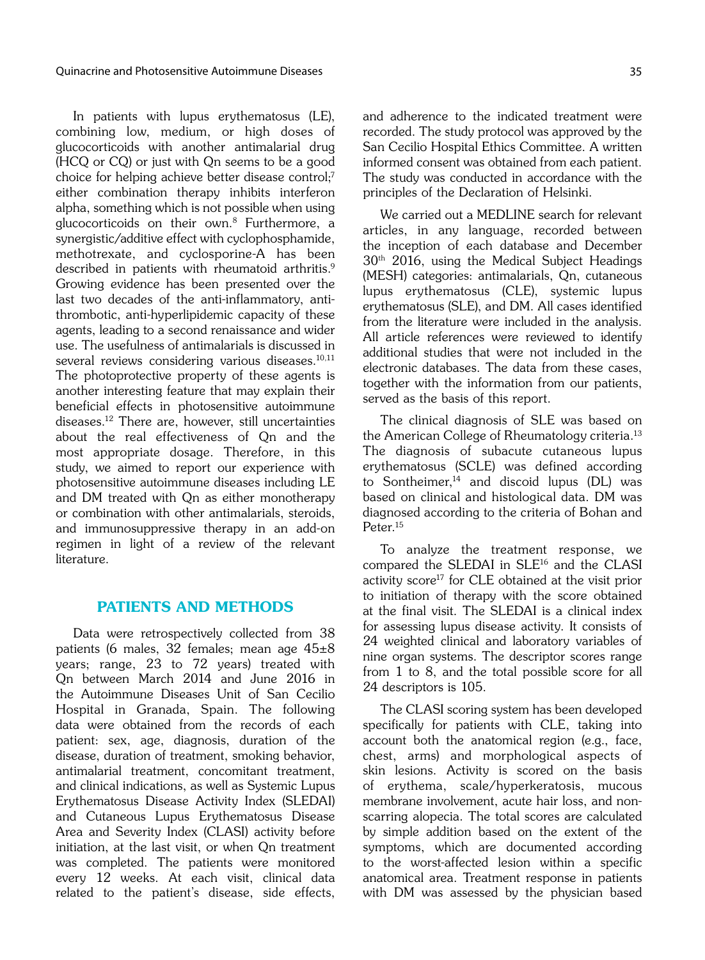In patients with lupus erythematosus (LE), combining low, medium, or high doses of glucocorticoids with another antimalarial drug (HCQ or CQ) or just with Qn seems to be a good choice for helping achieve better disease control;<sup>7</sup> either combination therapy inhibits interferon alpha, something which is not possible when using glucocorticoids on their own.8 Furthermore, a synergistic/additive effect with cyclophosphamide, methotrexate, and cyclosporine-A has been described in patients with rheumatoid arthritis.<sup>9</sup> Growing evidence has been presented over the last two decades of the anti-inflammatory, antithrombotic, anti-hyperlipidemic capacity of these agents, leading to a second renaissance and wider use. The usefulness of antimalarials is discussed in several reviews considering various diseases.<sup>10,11</sup> The photoprotective property of these agents is another interesting feature that may explain their beneficial effects in photosensitive autoimmune diseases.12 There are, however, still uncertainties about the real effectiveness of Qn and the most appropriate dosage. Therefore, in this study, we aimed to report our experience with photosensitive autoimmune diseases including LE and DM treated with Qn as either monotherapy or combination with other antimalarials, steroids, and immunosuppressive therapy in an add-on regimen in light of a review of the relevant literature.

# PATIENTS AND METHODS

Data were retrospectively collected from 38 patients (6 males, 32 females; mean age 45±8 years; range, 23 to 72 years) treated with Qn between March 2014 and June 2016 in the Autoimmune Diseases Unit of San Cecilio Hospital in Granada, Spain. The following data were obtained from the records of each patient: sex, age, diagnosis, duration of the disease, duration of treatment, smoking behavior, antimalarial treatment, concomitant treatment, and clinical indications, as well as Systemic Lupus Erythematosus Disease Activity Index (SLEDAI) and Cutaneous Lupus Erythematosus Disease Area and Severity Index (CLASI) activity before initiation, at the last visit, or when Qn treatment was completed. The patients were monitored every 12 weeks. At each visit, clinical data related to the patient's disease, side effects, and adherence to the indicated treatment were recorded. The study protocol was approved by the San Cecilio Hospital Ethics Committee. A written informed consent was obtained from each patient. The study was conducted in accordance with the principles of the Declaration of Helsinki.

We carried out a MEDLINE search for relevant articles, in any language, recorded between the inception of each database and December 30th 2016, using the Medical Subject Headings (MESH) categories: antimalarials, Qn, cutaneous lupus erythematosus (CLE), systemic lupus erythematosus (SLE), and DM. All cases identified from the literature were included in the analysis. All article references were reviewed to identify additional studies that were not included in the electronic databases. The data from these cases, together with the information from our patients, served as the basis of this report.

The clinical diagnosis of SLE was based on the American College of Rheumatology criteria.<sup>13</sup> The diagnosis of subacute cutaneous lupus erythematosus (SCLE) was defined according to Sontheimer, $14$  and discoid lupus (DL) was based on clinical and histological data. DM was diagnosed according to the criteria of Bohan and Peter.<sup>15</sup>

To analyze the treatment response, we compared the SLEDAI in SLE<sup>16</sup> and the CLASI activity score<sup>17</sup> for CLE obtained at the visit prior to initiation of therapy with the score obtained at the final visit. The SLEDAI is a clinical index for assessing lupus disease activity. It consists of 24 weighted clinical and laboratory variables of nine organ systems. The descriptor scores range from 1 to 8, and the total possible score for all 24 descriptors is 105.

The CLASI scoring system has been developed specifically for patients with CLE, taking into account both the anatomical region (e.g., face, chest, arms) and morphological aspects of skin lesions. Activity is scored on the basis of erythema, scale/hyperkeratosis, mucous membrane involvement, acute hair loss, and nonscarring alopecia. The total scores are calculated by simple addition based on the extent of the symptoms, which are documented according to the worst-affected lesion within a specific anatomical area. Treatment response in patients with DM was assessed by the physician based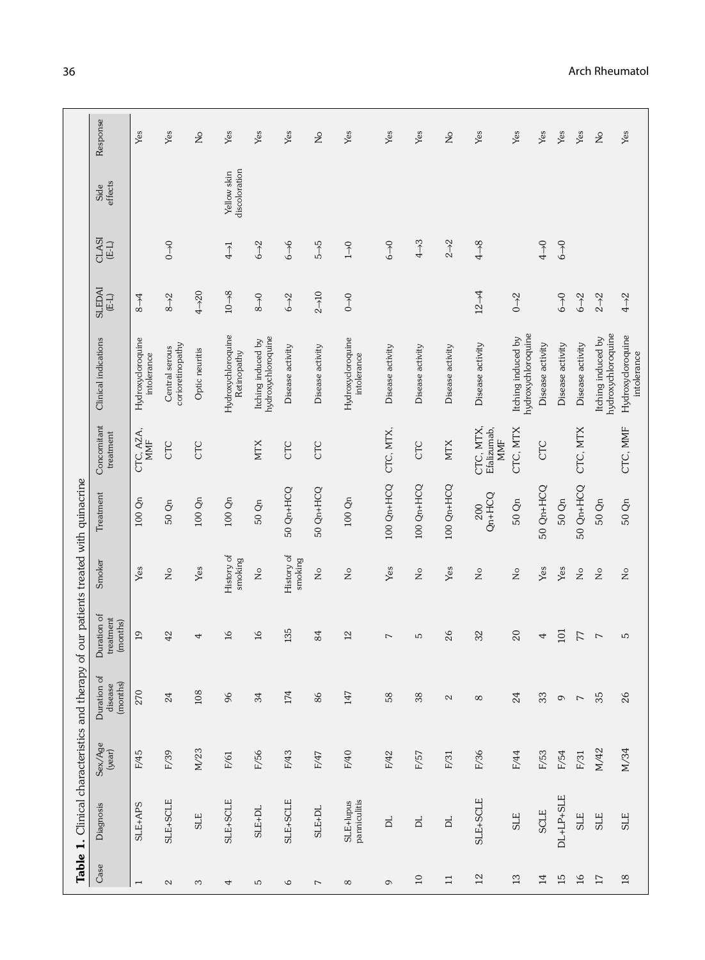|                          | Table 1. Clinical characteristics and therapy |                   |                                    |                                      |                            | of our patients treated with quinacrine |                                 |                                          |                          |                   |                              |               |
|--------------------------|-----------------------------------------------|-------------------|------------------------------------|--------------------------------------|----------------------------|-----------------------------------------|---------------------------------|------------------------------------------|--------------------------|-------------------|------------------------------|---------------|
| Case                     | Diagnosis                                     | Sex/Age<br>(year) | Duration of<br>(months)<br>disease | Duration of<br>treatment<br>(months) | Smoker                     | Treatment                               | Concomitant<br>treatment        | Clinical indications                     | <b>SLEDAI</b><br>$(E-L)$ | CLASI<br>$(E-L)$  | effects<br>Side              | Response      |
| $\overline{\phantom{0}}$ | SLE+APS                                       | F/45              | 270                                | $\overline{a}$                       | Yes                        | 100 Qn                                  | CTC, AZA,<br><b>MMF</b>         | Hydroxycloroquine<br>intolerance         | $8 - 4$                  |                   |                              | Yes           |
| $\mathbb{C}^2$           | SLE+SCLE                                      | F/39              | 24                                 | 42                                   | $\stackrel{\circ}{\simeq}$ | 50 Qn                                   | CTC                             | corioretinopathy<br>Central serous       | $8 - 2$                  | $0 \rightarrow 0$ |                              | Yes           |
| S                        | SLE                                           | M/23              | 108                                | 4                                    | Yes                        | $100 \; \mathrm{Qn}$                    | CTC                             | Optic neuritis                           | $4 - 20$                 |                   |                              | $\frac{1}{2}$ |
| 4                        | SLE+SCLE                                      | F/61              | 96                                 | $\frac{1}{6}$                        | History of<br>smoking      | $100 \; \mathrm{Qn}$                    |                                 | Hydroxychloroquine<br>Retinopathy        | $10 - 8$                 | $\overline{4}$    | Yellow skin<br>discoloration | Yes           |
| Б                        | SLE+DL                                        | F/56              | 34                                 | $\mathfrak{a}$                       | $\stackrel{\circ}{\simeq}$ | 50 Qn                                   | <b>NTX</b>                      | hydroxychloroquine<br>Itching induced by | $8\rightarrow 0$         | $6 \rightarrow 2$ |                              | Yes           |
| $\mathsf{\circ}$         | SLE+SCLE                                      | F/43              | 174                                | 135                                  | History of<br>smoking      | 50 Qn+HCQ                               | CTC                             | Disease activity                         | $6 - 2$                  | $6 - 6$           |                              | Yes           |
| $\overline{\phantom{0}}$ | SLE+DL                                        | F/47              | $86$                               | 84                                   | $\frac{1}{2}$              | 50 Qn+HCQ                               | CTC                             | Disease activity                         | $2 - 10$                 | $5 - 5$           |                              | $\frac{1}{2}$ |
| ${}^{\circ}$             | panniculitis<br>SLE+lupus                     | F/40              | 147                                | 12                                   | $\frac{1}{2}$              | 100 Qn                                  |                                 | Hydroxycloroquine<br>intolerance         | $0 \rightarrow 0$        | $1\rightarrow 0$  |                              | Yes           |
| $\circ$                  | $\Xi$                                         | F/42              | 58                                 | $\overline{ }$                       | Yes                        | 100 Qn+HCQ                              | CTC, MTX,                       | Disease activity                         |                          | $6 - 0$           |                              | Yes           |
| $\Box$                   | $\square$                                     | F/57              | $38$                               | S                                    | $\stackrel{\circ}{\simeq}$ | 100 Qn+HCQ                              | CTC                             | Disease activity                         |                          | $4 \rightarrow 3$ |                              | Yes           |
| $\Xi$                    | $\square$                                     | F/31              | $\mathbf{\Omega}$                  | 26                                   | Yes                        | 100 Qn+HCQ                              | <b>NTX</b>                      | Disease activity                         |                          | $2\rightarrow 2$  |                              | $\frac{1}{2}$ |
| 12                       | SLE+SCLE                                      | F/36              | $\infty$                           | 32                                   | $\zeta$                    | $Qn+H C Q$<br>200                       | CTC, MTX,<br>Efalizumab,<br>MMF | Disease activity                         | $12 - 4$                 | $4 - 8$           |                              | Yes           |
| 13                       | <b>SLE</b>                                    | F/44              | 24                                 | $\overline{20}$                      | $\stackrel{\circ}{\simeq}$ | 50 Qn                                   | CTC, MTX                        | hydroxychloroquine<br>Itching induced by | $0 \rightarrow 2$        |                   |                              | Yes           |
| $\overline{14}$          | SCLE                                          | F/53              | 33                                 | 4                                    | Yes                        | 50 Qn+HCQ                               | CTC                             | Disease activity                         |                          | $4 \rightarrow 0$ |                              | Yes           |
| 15                       | $DL+LP+SLE$                                   | F/54              | $\circ$                            | 101                                  | Yes                        | 50 Qn                                   |                                 | Disease activity                         | $6 - 0$                  | $6 - 0$           |                              | Yes           |
| $\mathfrak{g}_1$         | SLE                                           | ${\rm F}/31$      | $\overline{\phantom{0}}$           | 77                                   | $\stackrel{\circ}{\simeq}$ | 50 Qn+HCQ                               | CTC, MTX                        | Disease activity                         | $6 - 2$                  |                   |                              | Yes           |
| 17                       | SLE                                           | M/42              | 35                                 | $\overline{ }$                       | $\frac{1}{2}$              | $50$ Qn                                 |                                 | hydroxychloroquine<br>Itching induced by | $2\rightarrow 2$         |                   |                              | $\frac{1}{2}$ |
| $18$                     | <b>SLE</b>                                    | M/34              | 26                                 | ъ                                    | $\frac{1}{2}$              | 50 Qn                                   | CTC, MMF                        | Hydroxycloroquine<br>intolerance         | $4\rightarrow 2$         |                   |                              | Yes           |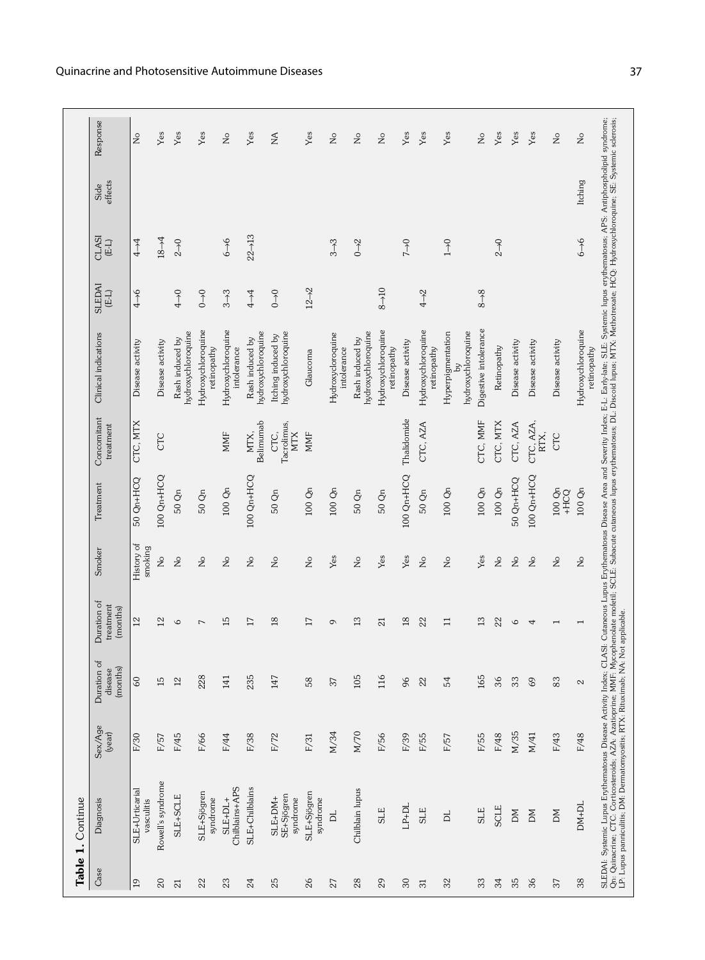|                 | Table 1. Continue                                                                                                                                                                                                                 |                   |                                    |                                      |                       |                    |                                   |                                               |                         |                                 |                 |                              |
|-----------------|-----------------------------------------------------------------------------------------------------------------------------------------------------------------------------------------------------------------------------------|-------------------|------------------------------------|--------------------------------------|-----------------------|--------------------|-----------------------------------|-----------------------------------------------|-------------------------|---------------------------------|-----------------|------------------------------|
| Case            | Diagnosis                                                                                                                                                                                                                         | Sex/Age<br>(year) | Duration of<br>(months)<br>disease | Duration of<br>treatment<br>(months) | Smoker                | Treatment          | Concomitant<br>treatment          | Clinical indications                          | <b>SLEDA</b><br>$(E-L)$ | CLASI<br>$(E-L)$                | effects<br>Side | Response                     |
| 19              | SLE+Urticarial<br>vasculitis                                                                                                                                                                                                      | F/30              | 60                                 | $\overline{2}$                       | History of<br>smoking | 50 Qn+HCQ          | CTC, MTX                          | Disease activity                              | $4 - 6$                 | $4 - 4$                         |                 | $\frac{1}{2}$                |
| $20\,$          | Rowell's syndrome                                                                                                                                                                                                                 | F/57              | 15                                 | $^{12}$                              | Ş                     | 100 Qn+HCQ         | CTC                               | Disease activity                              |                         | $18 - 4$                        |                 | Yes                          |
| 21              | SLE+SCLE                                                                                                                                                                                                                          | F/45              | $^{12}$                            | $\circ$                              | Ş                     | 50 Qn              |                                   | hydroxychloroquine<br>Rash induced by         | $rac{1}{4}$             | $2\rightarrow 0$                |                 | Yes                          |
| 22              | SLE+Sjögren<br>syndrome                                                                                                                                                                                                           | F/66              | 228                                | 7                                    | Ş                     | 50 Qn              |                                   | Hydroxychloroquine<br>retinopathy             | $0 \rightarrow 0$       |                                 |                 | Yes                          |
| 23              | Chilblains+APS<br>$SLE+DL+$                                                                                                                                                                                                       | F/44              | 141                                | $\overline{15}$                      | $\gtrsim$             | $100$ Qn           | MMF                               | Hydroxychloroquine<br>intolerance             | $3\rightarrow 3$        | $6 - 6$                         |                 | $\stackrel{\circ}{\simeq}$   |
| 24              | SLE+Chilblains                                                                                                                                                                                                                    | F/38              | 235                                | $\overline{17}$                      | $\frac{1}{2}$         | 100 Qn+HCQ         | Belimumab<br>MTX,                 | hydroxychloroquine<br>Rash induced by         | $t\rightarrow 4$        | $22 - 13$                       |                 | Yes                          |
| 25              | SE+Sjögren<br>SLE+DM+<br>syndrome                                                                                                                                                                                                 | F/72              | 147                                | $^{26}$                              | $\frac{1}{2}$         | 50 Qn              | Tacrolimus,<br>CTC,<br><b>MTX</b> | hydroxychloroquine<br>Itching induced by      | $0 \rightarrow 0$       |                                 |                 | $\stackrel{\triangle}{\geq}$ |
| 26              | SLE+Sjögren<br>syndrome                                                                                                                                                                                                           | F/31              | 58                                 | $\overline{17}$                      | $\gtrsim$             | 100Qn              | <b>MMF</b>                        | Glaucoma                                      | $12 - 2$                |                                 |                 | Yes                          |
| 27              | h                                                                                                                                                                                                                                 | M/34              | 37                                 | 6                                    | Yes                   | $100\ \mathrm{Qn}$ |                                   | Hydroxycloroquine<br>intolerance              |                         | $3\rightarrow 3$                |                 | $\stackrel{\circ}{\simeq}$   |
| 28              | Chilblain lupus                                                                                                                                                                                                                   | M/70              | 105                                | 13                                   | $\epsilon$            | $50$ Qn            |                                   | hydroxychloroquine<br>Rash induced by         |                         | $0 - 2$                         |                 | $\frac{1}{2}$                |
| 29              | SLE                                                                                                                                                                                                                               | F/56              | 116                                | $\overline{\Omega}$                  | Yes                   | 50 Qn              |                                   | Hydroxychloroquine<br>retinopathy             | $8 - 10$                |                                 |                 | $\stackrel{\circ}{\simeq}$   |
| $30\,$          | $LP+DL$                                                                                                                                                                                                                           | F/39              | 96                                 | $\frac{8}{2}$                        | Yes                   | 100 Qn+HCQ         | Thalidomide                       | Disease activity                              |                         | $7 + 0$                         |                 | Yes                          |
| $\overline{31}$ | SLE                                                                                                                                                                                                                               | F/55              | 22                                 | 22                                   | $\frac{1}{2}$         | 50 Qn              | CTC, AZA                          | Hydroxychloroquine<br>retinopathy             | $4 - 2$                 |                                 |                 | Yes                          |
| 32              | p                                                                                                                                                                                                                                 | F/57              | 54                                 | Ξ                                    | Ş                     | 100Qn              |                                   | hydroxychloroquine<br>Hyperpigmentation<br>Σó |                         | $\begin{matrix} 1 \end{matrix}$ |                 | Yes                          |
| 33              | $SLE$                                                                                                                                                                                                                             | F/55              | 165                                | $\frac{3}{2}$                        | Yes                   | $100~\mathrm{Qn}$  | CTC, MMF                          | Digestive intolerance                         | $8 - 8$                 |                                 |                 | $\stackrel{\circ}{\simeq}$   |
| 34              | SCLE                                                                                                                                                                                                                              | F/48              | 36                                 | 22                                   | $\geq$                | $100$ Qn           | CTC, MTX                          | Retinopathy                                   |                         | $2 - 0$                         |                 | Yes                          |
| 35              | $\mathsf{M}$                                                                                                                                                                                                                      | M/35              | 33                                 | $\circ$                              | $\geq$                | 50 Qn+HCQ          | CTC, AZA                          | Disease activity                              |                         |                                 |                 | Yes                          |
| 36              | ЫÑ                                                                                                                                                                                                                                | M/41              | 69                                 | 4                                    | $\frac{1}{2}$         | 100 Qn+HCQ         | CTC, AZA,<br>RTX,                 | Disease activity                              |                         |                                 |                 | Yes                          |
| 37              | ЫÑ                                                                                                                                                                                                                                | F/43              | 83                                 | $\overline{\phantom{0}}$             | $\frac{1}{2}$         | 100Qn<br>+HCQ      | CTC                               | Disease activity                              |                         |                                 |                 | $\frac{1}{2}$                |
| 38              | DM+DL                                                                                                                                                                                                                             | F/48              | $\mathbf{\Omega}$                  |                                      | $\gtrsim$             | 100 Qn             |                                   | Hydroxychloroquine<br>retinopathy             |                         | $6 - 6$                         | Itching         | $\frac{1}{2}$                |
|                 | SLEDA!: Systemic Lupus Erythematosus Disease Activity Index; CLASI: Cutaneous Lupus Erythematosus Disease Area and Severity Index; E-L: Early-late; SLE: Systemic lupus erythematosus; APS: Antiphospholipid syndrome;<br>Qn: Qui |                   |                                    |                                      |                       |                    |                                   |                                               |                         |                                 |                 |                              |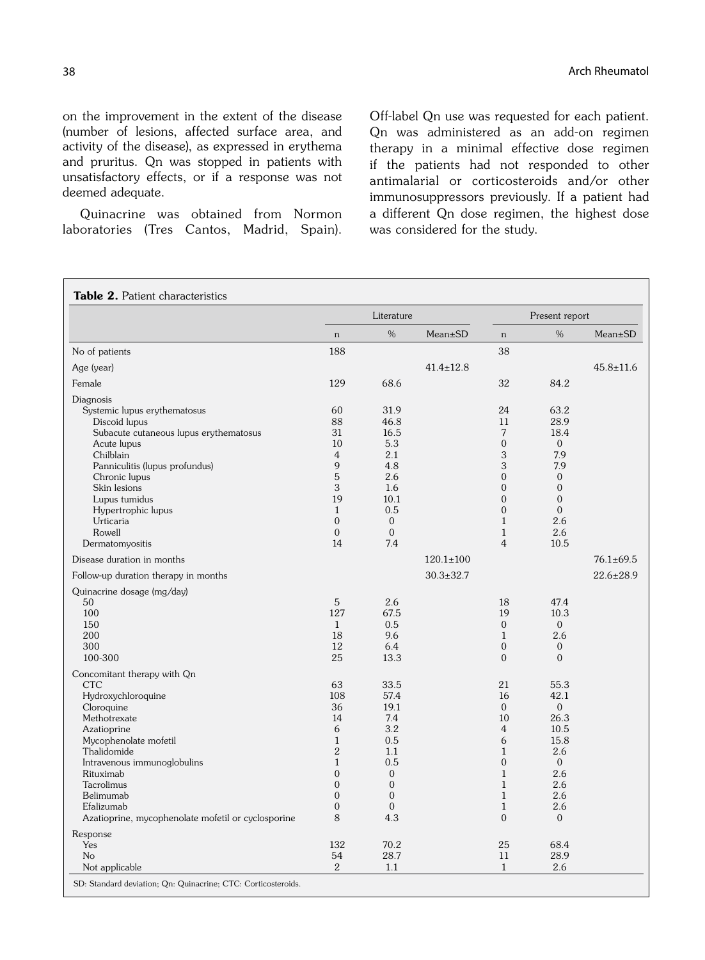on the improvement in the extent of the disease (number of lesions, affected surface area, and activity of the disease), as expressed in erythema and pruritus. Qn was stopped in patients with unsatisfactory effects, or if a response was not deemed adequate.

Quinacrine was obtained from Normon laboratories (Tres Cantos, Madrid, Spain). Off-label Qn use was requested for each patient. Qn was administered as an add-on regimen therapy in a minimal effective dose regimen if the patients had not responded to other antimalarial or corticosteroids and/or other immunosuppressors previously. If a patient had a different Qn dose regimen, the highest dose was considered for the study.

|                                                    |                | Literature     |                 |                | Present report |                 |
|----------------------------------------------------|----------------|----------------|-----------------|----------------|----------------|-----------------|
|                                                    | $\mathbf n$    | %              | Mean±SD         | n              | %              | Mean±SD         |
| No of patients                                     | 188            |                |                 | 38             |                |                 |
| Age (year)                                         |                |                | $41.4 \pm 12.8$ |                |                | $45.8 \pm 11.6$ |
| Female                                             | 129            | 68.6           |                 | 32             | 84.2           |                 |
| Diagnosis                                          |                |                |                 |                |                |                 |
| Systemic lupus erythematosus                       | 60             | 31.9           |                 | 24             | 63.2           |                 |
| Discoid lupus                                      | 88             | 46.8           |                 | 11             | 28.9           |                 |
| Subacute cutaneous lupus erythematosus             | 31             | 16.5           |                 | 7              | 18.4           |                 |
| Acute lupus                                        | 10             | 5.3            |                 | $\overline{0}$ | $\overline{0}$ |                 |
| Chilblain                                          | $\overline{4}$ | 2.1            |                 | 3              | 7.9            |                 |
| Panniculitis (lupus profundus)                     | 9              | 4.8            |                 | 3              | 7.9            |                 |
| Chronic lupus                                      | 5              | 2.6            |                 | $\Omega$       | $\overline{0}$ |                 |
| Skin lesions                                       | 3              | 1.6            |                 | $\overline{0}$ | $\mathbf{0}$   |                 |
| Lupus tumidus                                      | 19             | 10.1           |                 | $\overline{0}$ | $\overline{0}$ |                 |
| Hypertrophic lupus                                 | $\mathbf{1}$   | 0.5            |                 | $\overline{0}$ | $\mathbf{0}$   |                 |
| Urticaria                                          | $\Omega$       | $\Omega$       |                 | $\mathbf{1}$   | 2.6            |                 |
| Rowell                                             | $\Omega$       | $\Omega$       |                 | $\mathbf{1}$   | 2.6            |                 |
| Dermatomyositis                                    | 14             | 7.4            |                 | $\overline{4}$ | 10.5           |                 |
|                                                    |                |                |                 |                |                |                 |
| Disease duration in months                         |                |                | $120.1 \pm 100$ |                |                | $76.1 \pm 69.5$ |
| Follow-up duration therapy in months               |                |                | $30.3 \pm 32.7$ |                |                | $22.6 \pm 28.9$ |
| Quinacrine dosage (mg/day)                         |                |                |                 |                |                |                 |
| 50                                                 | 5              | 2.6            |                 | 18             | 47.4           |                 |
| 100                                                | 127            | 67.5           |                 | 19             | 10.3           |                 |
| 150                                                | $\mathbf{1}$   | 0.5            |                 | $\Omega$       | $\overline{0}$ |                 |
| 200                                                | 18             | 9.6            |                 | $\mathbf{1}$   | 2.6            |                 |
| 300                                                | 12             | 6.4            |                 | $\overline{0}$ | $\mathbf{0}$   |                 |
| 100-300                                            | 25             | 13.3           |                 | $\Omega$       | $\Omega$       |                 |
| Concomitant therapy with Qn                        |                |                |                 |                |                |                 |
| <b>CTC</b>                                         | 63             | 33.5           |                 | 21             | 55.3           |                 |
| Hydroxychloroquine                                 | 108            | 57.4           |                 | 16             | 42.1           |                 |
| Cloroquine                                         | 36             | 19.1           |                 | $\Omega$       | $\overline{0}$ |                 |
| Methotrexate                                       | 14             | 7.4            |                 | 10             | 26.3           |                 |
| Azatioprine                                        | 6              | 3.2            |                 | $\overline{4}$ | 10.5           |                 |
| Mycophenolate mofetil                              | $\mathbf{1}$   | 0.5            |                 | 6              | 15.8           |                 |
| Thalidomide                                        | $\overline{2}$ | 1.1            |                 | $\mathbf{1}$   | 2.6            |                 |
| Intravenous immunoglobulins                        | $\mathbf{1}$   | 0.5            |                 | $\overline{0}$ | $\overline{0}$ |                 |
| Rituximab                                          | $\mathbf{0}$   | $\overline{0}$ |                 | $\mathbf{1}$   | 2.6            |                 |
| Tacrolimus                                         | $\overline{0}$ | $\overline{0}$ |                 | $\mathbf{1}$   | 2.6            |                 |
| Belimumab                                          | $\mathbf{0}$   | $\Omega$       |                 | $\mathbf{1}$   | 2.6            |                 |
| Efalizumab                                         | $\Omega$       | $\Omega$       |                 | $\mathbf{1}$   | 2.6            |                 |
| Azatioprine, mycophenolate mofetil or cyclosporine | 8              | 4.3            |                 | $\Omega$       | $\overline{0}$ |                 |
| Response                                           |                |                |                 |                |                |                 |
| Yes                                                | 132            | 70.2           |                 | 25             | 68.4           |                 |
| N <sub>o</sub>                                     | 54             | 28.7           |                 | 11             | 28.9           |                 |
| Not applicable                                     | 2              | 1.1            |                 | $\mathbf{1}$   | 2.6            |                 |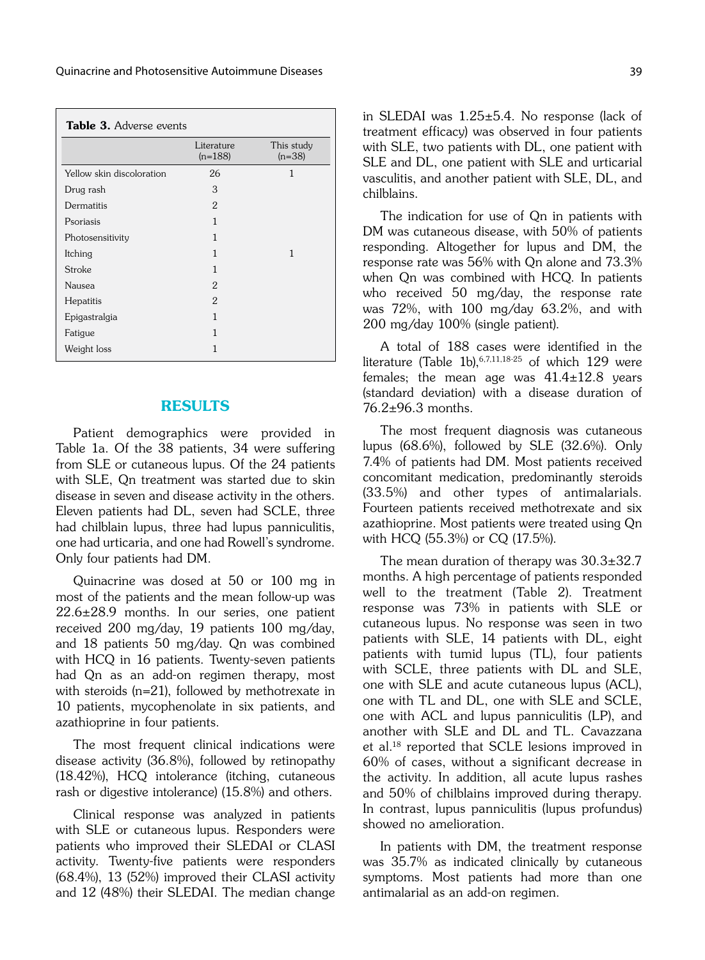| Table 3. Adverse events   |                         |                        |
|---------------------------|-------------------------|------------------------|
|                           | Literature<br>$(n=188)$ | This study<br>$(n=38)$ |
| Yellow skin discoloration | 26                      | 1                      |
| Drug rash                 | 3                       |                        |
| Dermatitis                | 2                       |                        |
| Psoriasis                 | 1                       |                        |
| Photosensitivity          | 1                       |                        |
| Itching                   | 1                       | 1                      |
| Stroke                    | 1                       |                        |
| Nausea                    | 2                       |                        |
| <b>Hepatitis</b>          | $\overline{2}$          |                        |
| Epigastralgia             | 1                       |                        |
| Fatigue                   | 1                       |                        |
| Weight loss               | 1                       |                        |

#### RESULTS

Patient demographics were provided in Table 1a. Of the 38 patients, 34 were suffering from SLE or cutaneous lupus. Of the 24 patients with SLE, Qn treatment was started due to skin disease in seven and disease activity in the others. Eleven patients had DL, seven had SCLE, three had chilblain lupus, three had lupus panniculitis, one had urticaria, and one had Rowell's syndrome. Only four patients had DM.

Quinacrine was dosed at 50 or 100 mg in most of the patients and the mean follow-up was  $22.6 \pm 28.9$  months. In our series, one patient received 200 mg/day, 19 patients 100 mg/day, and 18 patients 50 mg/day. Qn was combined with HCQ in 16 patients. Twenty-seven patients had Qn as an add-on regimen therapy, most with steroids (n=21), followed by methotrexate in 10 patients, mycophenolate in six patients, and azathioprine in four patients.

The most frequent clinical indications were disease activity (36.8%), followed by retinopathy (18.42%), HCQ intolerance (itching, cutaneous rash or digestive intolerance) (15.8%) and others.

Clinical response was analyzed in patients with SLE or cutaneous lupus. Responders were patients who improved their SLEDAI or CLASI activity. Twenty-five patients were responders (68.4%), 13 (52%) improved their CLASI activity and 12 (48%) their SLEDAI. The median change in SLEDAI was 1.25±5.4. No response (lack of treatment efficacy) was observed in four patients with SLE, two patients with DL, one patient with SLE and DL, one patient with SLE and urticarial vasculitis, and another patient with SLE, DL, and chilblains.

The indication for use of Qn in patients with DM was cutaneous disease, with 50% of patients responding. Altogether for lupus and DM, the response rate was 56% with Qn alone and 73.3% when Qn was combined with HCQ. In patients who received 50 mg/day, the response rate was 72%, with 100 mg/day 63.2%, and with 200 mg/day 100% (single patient).

A total of 188 cases were identified in the literature (Table 1b),  $6,7,11,18-25$  of which 129 were females; the mean age was  $41.4 \pm 12.8$  years (standard deviation) with a disease duration of 76.2±96.3 months.

The most frequent diagnosis was cutaneous lupus (68.6%), followed by SLE (32.6%). Only 7.4% of patients had DM. Most patients received concomitant medication, predominantly steroids (33.5%) and other types of antimalarials. Fourteen patients received methotrexate and six azathioprine. Most patients were treated using Qn with HCQ (55.3%) or CQ (17.5%).

The mean duration of therapy was  $30.3\pm32.7$ months. A high percentage of patients responded well to the treatment (Table 2). Treatment response was 73% in patients with SLE or cutaneous lupus. No response was seen in two patients with SLE, 14 patients with DL, eight patients with tumid lupus (TL), four patients with SCLE, three patients with DL and SLE, one with SLE and acute cutaneous lupus (ACL), one with TL and DL, one with SLE and SCLE, one with ACL and lupus panniculitis (LP), and another with SLE and DL and TL. Cavazzana et al.18 reported that SCLE lesions improved in 60% of cases, without a significant decrease in the activity. In addition, all acute lupus rashes and 50% of chilblains improved during therapy. In contrast, lupus panniculitis (lupus profundus) showed no amelioration.

In patients with DM, the treatment response was 35.7% as indicated clinically by cutaneous symptoms. Most patients had more than one antimalarial as an add-on regimen.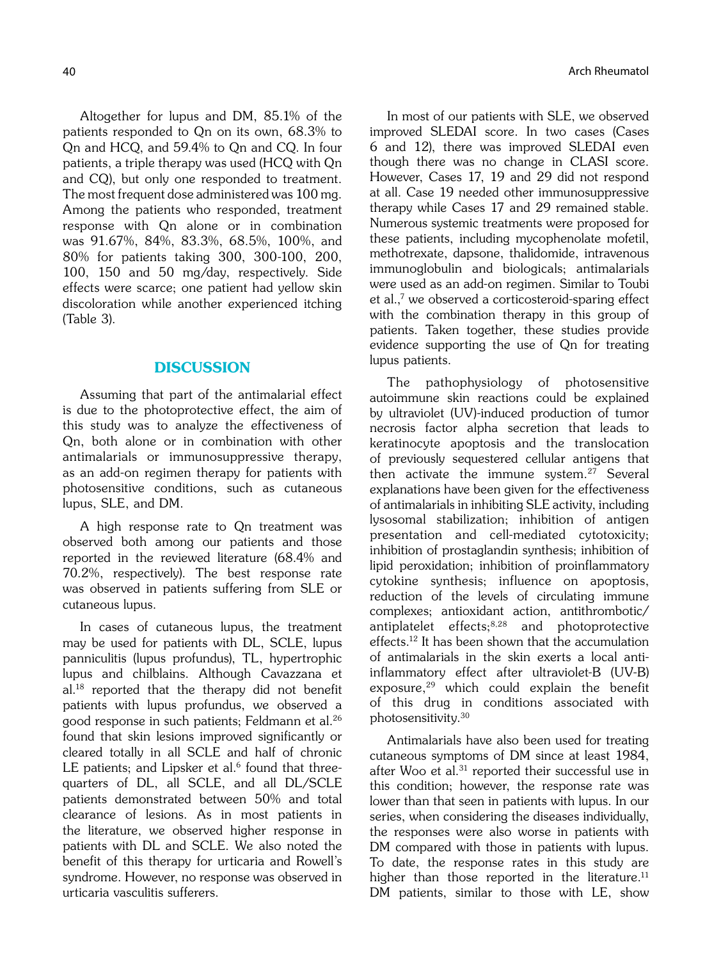Altogether for lupus and DM, 85.1% of the patients responded to Qn on its own, 68.3% to Qn and HCQ, and 59.4% to Qn and CQ. In four patients, a triple therapy was used (HCQ with Qn and CQ), but only one responded to treatment. The most frequent dose administered was 100 mg. Among the patients who responded, treatment response with Qn alone or in combination was 91.67%, 84%, 83.3%, 68.5%, 100%, and 80% for patients taking 300, 300-100, 200, 100, 150 and 50 mg/day, respectively. Side effects were scarce; one patient had yellow skin discoloration while another experienced itching (Table 3).

### **DISCUSSION**

Assuming that part of the antimalarial effect is due to the photoprotective effect, the aim of this study was to analyze the effectiveness of Qn, both alone or in combination with other antimalarials or immunosuppressive therapy, as an add-on regimen therapy for patients with photosensitive conditions, such as cutaneous lupus, SLE, and DM.

A high response rate to Qn treatment was observed both among our patients and those reported in the reviewed literature (68.4% and 70.2%, respectively). The best response rate was observed in patients suffering from SLE or cutaneous lupus.

In cases of cutaneous lupus, the treatment may be used for patients with DL, SCLE, lupus panniculitis (lupus profundus), TL, hypertrophic lupus and chilblains. Although Cavazzana et al.18 reported that the therapy did not benefit patients with lupus profundus, we observed a good response in such patients; Feldmann et al.26 found that skin lesions improved significantly or cleared totally in all SCLE and half of chronic LE patients; and Lipsker et al. $6$  found that threequarters of DL, all SCLE, and all DL/SCLE patients demonstrated between 50% and total clearance of lesions. As in most patients in the literature, we observed higher response in patients with DL and SCLE. We also noted the benefit of this therapy for urticaria and Rowell's syndrome. However, no response was observed in urticaria vasculitis sufferers.

In most of our patients with SLE, we observed improved SLEDAI score. In two cases (Cases 6 and 12), there was improved SLEDAI even though there was no change in CLASI score. However, Cases 17, 19 and 29 did not respond at all. Case 19 needed other immunosuppressive therapy while Cases 17 and 29 remained stable. Numerous systemic treatments were proposed for these patients, including mycophenolate mofetil, methotrexate, dapsone, thalidomide, intravenous immunoglobulin and biologicals; antimalarials were used as an add-on regimen. Similar to Toubi et al.,7 we observed a corticosteroid-sparing effect with the combination therapy in this group of patients. Taken together, these studies provide evidence supporting the use of Qn for treating lupus patients.

The pathophysiology of photosensitive autoimmune skin reactions could be explained by ultraviolet (UV)-induced production of tumor necrosis factor alpha secretion that leads to keratinocyte apoptosis and the translocation of previously sequestered cellular antigens that then activate the immune system.<sup>27</sup> Several explanations have been given for the effectiveness of antimalarials in inhibiting SLE activity, including lysosomal stabilization; inhibition of antigen presentation and cell-mediated cytotoxicity; inhibition of prostaglandin synthesis; inhibition of lipid peroxidation; inhibition of proinflammatory cytokine synthesis; influence on apoptosis, reduction of the levels of circulating immune complexes; antioxidant action, antithrombotic/ antiplatelet effects;8,28 and photoprotective effects.12 It has been shown that the accumulation of antimalarials in the skin exerts a local antiinflammatory effect after ultraviolet-B (UV-B) exposure, $29$  which could explain the benefit of this drug in conditions associated with photosensitivity.30

Antimalarials have also been used for treating cutaneous symptoms of DM since at least 1984, after Woo et al.<sup>31</sup> reported their successful use in this condition; however, the response rate was lower than that seen in patients with lupus. In our series, when considering the diseases individually, the responses were also worse in patients with DM compared with those in patients with lupus. To date, the response rates in this study are higher than those reported in the literature.<sup>11</sup> DM patients, similar to those with LE, show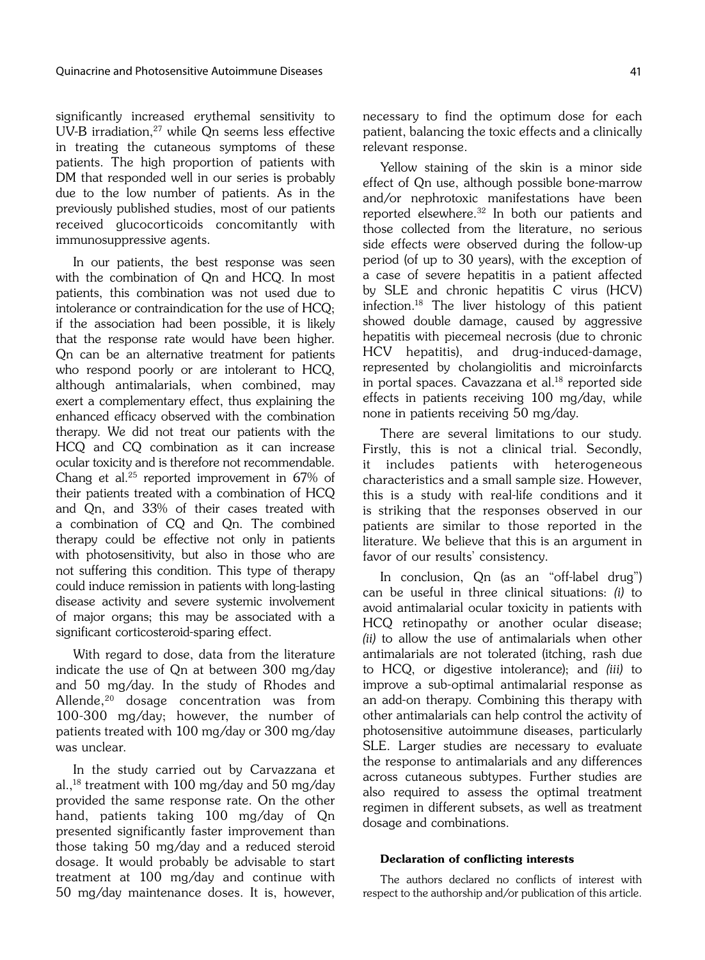significantly increased erythemal sensitivity to UV-B irradiation, $27$  while Qn seems less effective in treating the cutaneous symptoms of these patients. The high proportion of patients with DM that responded well in our series is probably due to the low number of patients. As in the previously published studies, most of our patients received glucocorticoids concomitantly with immunosuppressive agents.

In our patients, the best response was seen with the combination of Qn and HCQ. In most patients, this combination was not used due to intolerance or contraindication for the use of HCQ; if the association had been possible, it is likely that the response rate would have been higher. Qn can be an alternative treatment for patients who respond poorly or are intolerant to HCQ, although antimalarials, when combined, may exert a complementary effect, thus explaining the enhanced efficacy observed with the combination therapy. We did not treat our patients with the HCQ and CQ combination as it can increase ocular toxicity and is therefore not recommendable. Chang et al.25 reported improvement in 67% of their patients treated with a combination of HCQ and Qn, and 33% of their cases treated with a combination of CQ and Qn. The combined therapy could be effective not only in patients with photosensitivity, but also in those who are not suffering this condition. This type of therapy could induce remission in patients with long-lasting disease activity and severe systemic involvement of major organs; this may be associated with a significant corticosteroid-sparing effect.

With regard to dose, data from the literature indicate the use of Qn at between 300 mg/day and 50 mg/day. In the study of Rhodes and Allende,<sup>20</sup> dosage concentration was from 100-300 mg/day; however, the number of patients treated with 100 mg/day or 300 mg/day was unclear.

In the study carried out by Carvazzana et al.,18 treatment with 100 mg/day and 50 mg/day provided the same response rate. On the other hand, patients taking 100 mg/day of Qn presented significantly faster improvement than those taking 50 mg/day and a reduced steroid dosage. It would probably be advisable to start treatment at 100 mg/day and continue with 50 mg/day maintenance doses. It is, however, necessary to find the optimum dose for each patient, balancing the toxic effects and a clinically relevant response.

Yellow staining of the skin is a minor side effect of Qn use, although possible bone-marrow and/or nephrotoxic manifestations have been reported elsewhere.32 In both our patients and those collected from the literature, no serious side effects were observed during the follow-up period (of up to 30 years), with the exception of a case of severe hepatitis in a patient affected by SLE and chronic hepatitis C virus (HCV) infection.18 The liver histology of this patient showed double damage, caused by aggressive hepatitis with piecemeal necrosis (due to chronic HCV hepatitis), and drug-induced-damage, represented by cholangiolitis and microinfarcts in portal spaces. Cavazzana et al.18 reported side effects in patients receiving 100 mg/day, while none in patients receiving 50 mg/day.

There are several limitations to our study. Firstly, this is not a clinical trial. Secondly, it includes patients with heterogeneous characteristics and a small sample size. However, this is a study with real-life conditions and it is striking that the responses observed in our patients are similar to those reported in the literature. We believe that this is an argument in favor of our results' consistency.

In conclusion, Qn (as an "off-label drug") can be useful in three clinical situations: (i) to avoid antimalarial ocular toxicity in patients with HCQ retinopathy or another ocular disease; (ii) to allow the use of antimalarials when other antimalarials are not tolerated (itching, rash due to HCQ, or digestive intolerance); and (iii) to improve a sub-optimal antimalarial response as an add-on therapy. Combining this therapy with other antimalarials can help control the activity of photosensitive autoimmune diseases, particularly SLE. Larger studies are necessary to evaluate the response to antimalarials and any differences across cutaneous subtypes. Further studies are also required to assess the optimal treatment regimen in different subsets, as well as treatment dosage and combinations.

#### Declaration of conflicting interests

The authors declared no conflicts of interest with respect to the authorship and/or publication of this article.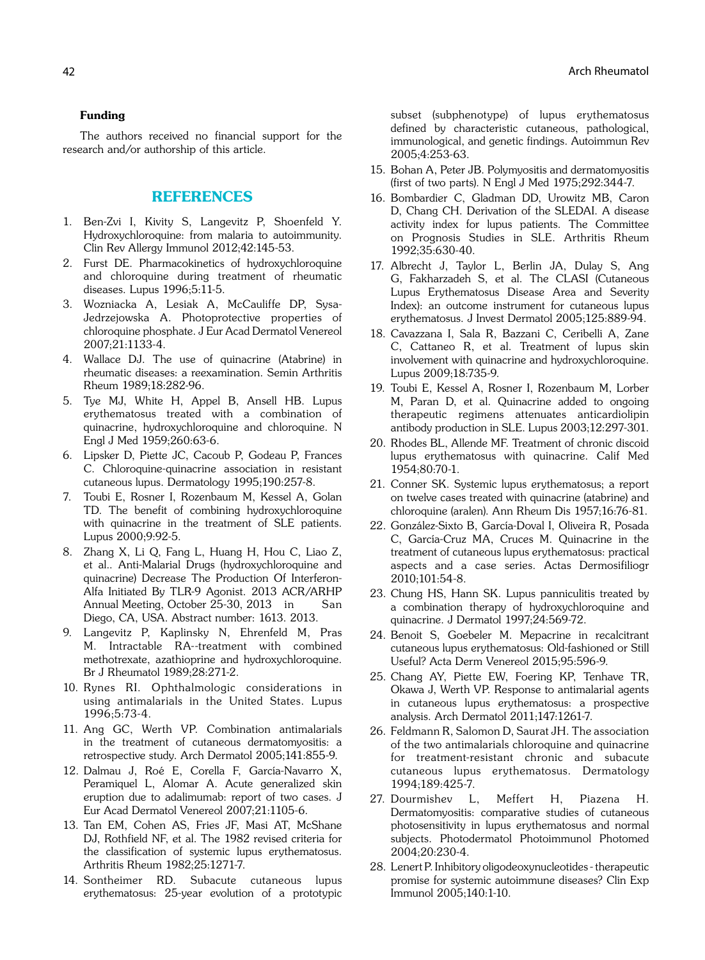## Funding

The authors received no financial support for the research and/or authorship of this article.

# REFERENCES

- 1. Ben-Zvi I, Kivity S, Langevitz P, Shoenfeld Y. Hydroxychloroquine: from malaria to autoimmunity. Clin Rev Allergy Immunol 2012;42:145-53.
- 2. Furst DE. Pharmacokinetics of hydroxychloroquine and chloroquine during treatment of rheumatic diseases. Lupus 1996;5:11-5.
- 3. Wozniacka A, Lesiak A, McCauliffe DP, Sysa-Jedrzejowska A. Photoprotective properties of chloroquine phosphate. J Eur Acad Dermatol Venereol 2007;21:1133-4.
- 4. Wallace DJ. The use of quinacrine (Atabrine) in rheumatic diseases: a reexamination. Semin Arthritis Rheum 1989;18:282-96.
- 5. Tye MJ, White H, Appel B, Ansell HB. Lupus erythematosus treated with a combination of quinacrine, hydroxychloroquine and chloroquine. N Engl J Med 1959;260:63-6.
- 6. Lipsker D, Piette JC, Cacoub P, Godeau P, Frances C. Chloroquine-quinacrine association in resistant cutaneous lupus. Dermatology 1995;190:257-8.
- 7. Toubi E, Rosner I, Rozenbaum M, Kessel A, Golan TD. The benefit of combining hydroxychloroquine with quinacrine in the treatment of SLE patients. Lupus 2000;9:92-5.
- 8. Zhang X, Li Q, Fang L, Huang H, Hou C, Liao Z, et al.. Anti-Malarial Drugs (hydroxychloroquine and quinacrine) Decrease The Production Of Interferon-Alfa Initiated By TLR-9 Agonist. 2013 ACR/ARHP Annual Meeting, October 25-30, 2013 in San Diego, CA, USA. Abstract number: 1613. 2013.
- 9. Langevitz P, Kaplinsky N, Ehrenfeld M, Pras M. Intractable RA--treatment with combined methotrexate, azathioprine and hydroxychloroquine. Br J Rheumatol 1989;28:271-2.
- 10. Rynes RI. Ophthalmologic considerations in using antimalarials in the United States. Lupus 1996;5:73-4.
- 11. Ang GC, Werth VP. Combination antimalarials in the treatment of cutaneous dermatomyositis: a retrospective study. Arch Dermatol 2005;141:855-9.
- 12. Dalmau J, Roé E, Corella F, García-Navarro X, Peramiquel L, Alomar A. Acute generalized skin eruption due to adalimumab: report of two cases. J Eur Acad Dermatol Venereol 2007;21:1105-6.
- 13. Tan EM, Cohen AS, Fries JF, Masi AT, McShane DJ, Rothfield NF, et al. The 1982 revised criteria for the classification of systemic lupus erythematosus. Arthritis Rheum 1982;25:1271-7.
- 14. Sontheimer RD. Subacute cutaneous lupus erythematosus: 25-year evolution of a prototypic

subset (subphenotype) of lupus erythematosus defined by characteristic cutaneous, pathological, immunological, and genetic findings. Autoimmun Rev 2005;4:253-63.

- 15. Bohan A, Peter JB. Polymyositis and dermatomyositis (first of two parts). N Engl J Med 1975;292:344-7.
- 16. Bombardier C, Gladman DD, Urowitz MB, Caron D, Chang CH. Derivation of the SLEDAI. A disease activity index for lupus patients. The Committee on Prognosis Studies in SLE. Arthritis Rheum 1992;35:630-40.
- 17. Albrecht J, Taylor L, Berlin JA, Dulay S, Ang G, Fakharzadeh S, et al. The CLASI (Cutaneous Lupus Erythematosus Disease Area and Severity Index): an outcome instrument for cutaneous lupus erythematosus. J Invest Dermatol 2005;125:889-94.
- 18. Cavazzana I, Sala R, Bazzani C, Ceribelli A, Zane C, Cattaneo R, et al. Treatment of lupus skin involvement with quinacrine and hydroxychloroquine. Lupus 2009;18:735-9.
- 19. Toubi E, Kessel A, Rosner I, Rozenbaum M, Lorber M, Paran D, et al. Quinacrine added to ongoing therapeutic regimens attenuates anticardiolipin antibody production in SLE. Lupus 2003;12:297-301.
- 20. Rhodes BL, Allende MF. Treatment of chronic discoid lupus erythematosus with quinacrine. Calif Med 1954;80:70-1.
- 21. Conner SK. Systemic lupus erythematosus; a report on twelve cases treated with quinacrine (atabrine) and chloroquine (aralen). Ann Rheum Dis 1957;16:76-81.
- 22. González-Sixto B, García-Doval I, Oliveira R, Posada C, García-Cruz MA, Cruces M. Quinacrine in the treatment of cutaneous lupus erythematosus: practical aspects and a case series. Actas Dermosifiliogr 2010;101:54-8.
- 23. Chung HS, Hann SK. Lupus panniculitis treated by a combination therapy of hydroxychloroquine and quinacrine. J Dermatol 1997;24:569-72.
- 24. Benoit S, Goebeler M. Mepacrine in recalcitrant cutaneous lupus erythematosus: Old-fashioned or Still Useful? Acta Derm Venereol 2015;95:596-9.
- 25. Chang AY, Piette EW, Foering KP, Tenhave TR, Okawa J, Werth VP. Response to antimalarial agents in cutaneous lupus erythematosus: a prospective analysis. Arch Dermatol 2011;147:1261-7.
- 26. Feldmann R, Salomon D, Saurat JH. The association of the two antimalarials chloroquine and quinacrine for treatment-resistant chronic and subacute cutaneous lupus erythematosus. Dermatology 1994;189:425-7.
- 27. Dourmishev L, Meffert H, Piazena H. Dermatomyositis: comparative studies of cutaneous photosensitivity in lupus erythematosus and normal subjects. Photodermatol Photoimmunol Photomed 2004;20:230-4.
- 28. Lenert P. Inhibitory oligodeoxynucleotides therapeutic promise for systemic autoimmune diseases? Clin Exp Immunol 2005;140:1-10.